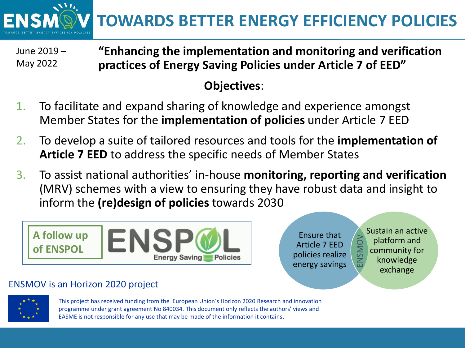**TOWARDS BETTER ENERGY EFFICIENCY POLICIES**

**"Enhancing the implementation and monitoring and verification practices of Energy Saving Policies under Article 7 of EED"** June 2019 – May 2022

## **Objectives**:

- 1. To facilitate and expand sharing of knowledge and experience amongst Member States for the **implementation of policies** under Article 7 EED
- 2. To develop a suite of tailored resources and tools for the **implementation of Article 7 EED** to address the specific needs of Member States
- 3. To assist national authorities' in-house **monitoring, reporting and verification**  (MRV) schemes with a view to ensuring they have robust data and insight to inform the **(re)design of policies** towards 2030



Ensure that Article 7 EED policies realize energy savings

Sustain an active platform and community for knowledge exchange ENSMOV

## ENSMOV is an Horizon 2020 project



This project has received funding from the European Union's Horizon 2020 Research and innovation programme under grant agreement No 840034. This document only reflects the authors' views and EASME is not responsible for any use that may be made of the information it contains.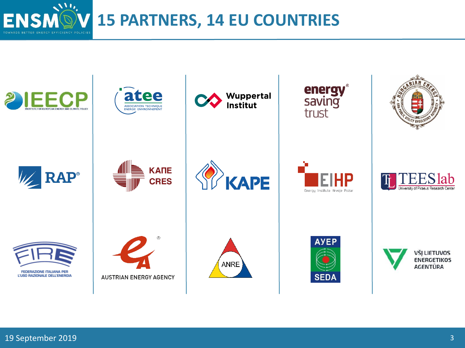**15 PARTNERS, 14 EU COUNTRIES**



 $\mathcal{N}^{(1)}$ 

**ENSA**